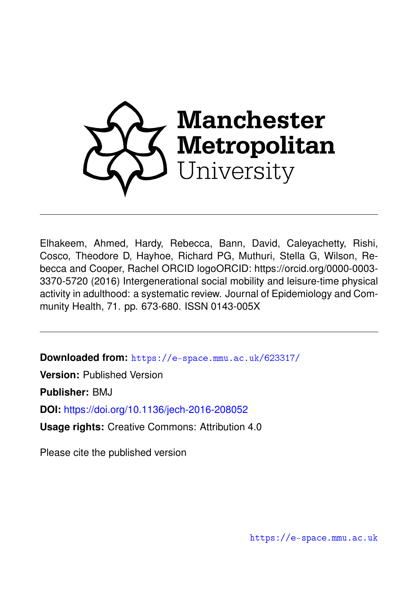

Elhakeem, Ahmed, Hardy, Rebecca, Bann, David, Caleyachetty, Rishi, Cosco, Theodore D, Hayhoe, Richard PG, Muthuri, Stella G, Wilson, Rebecca and Cooper, Rachel ORCID logoORCID: https://orcid.org/0000-0003- 3370-5720 (2016) Intergenerational social mobility and leisure-time physical activity in adulthood: a systematic review. Journal of Epidemiology and Community Health, 71. pp. 673-680. ISSN 0143-005X

**Downloaded from:** <https://e-space.mmu.ac.uk/623317/>

**Version:** Published Version

**Publisher:** BMJ

**DOI:** <https://doi.org/10.1136/jech-2016-208052>

**Usage rights:** Creative Commons: Attribution 4.0

Please cite the published version

<https://e-space.mmu.ac.uk>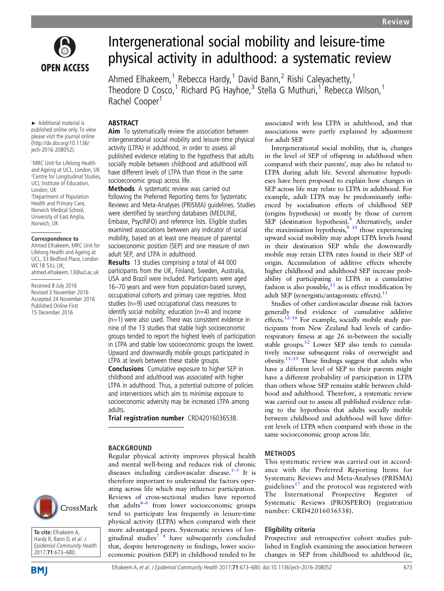

# Intergenerational social mobility and leisure-time physical activity in adulthood: a systematic review

Ahmed Elhakeem,<sup>1</sup> Rebecca Hardy,<sup>1</sup> David Bann,<sup>2</sup> Rishi Caleyachetty,<sup>1</sup> Theodore D Cosco,<sup>1</sup> Richard PG Hayhoe,<sup>3</sup> Stella G Muthuri,<sup>1</sup> Rebecca Wilson,<sup>1</sup> Rachel Cooper<sup>1</sup>

► Additional material is published online only. To view please visit the journal online

(http://dx.doi.org/10.1136/ jech-2016-208052). 1 MRC Unit for Lifelong Health

and Ageing at UCL, London, UK 2 Centre for Longitudinal Studies, UCL Institute of Education, London, UK 3 Department of Population Health and Primary Care, Norwich Medical School, University of East Anglia, Norwich, UK

#### **Correspondence to**

Ahmed Elhakeem, MRC Unit for Lifelong Health and Ageing at UCL, 33 Bedford Place, London WC1B 5JU, UK; ahmed.elhakeem.13@ucl.ac.uk

Received 8 July 2016 Revised 3 November 2016 Accepted 24 November 2016 Published Online First 15 December 2016



**To cite:** Elhakeem A, Hardy R, Bann D, et al. J Epidemiol Community Health 2017;**71**:673–680.

## ABSTRACT Aim To systematically review the association between intergenerational social mobility and leisure-time physical activity (LTPA) in adulthood, in order to assess all published evidence relating to the hypothesis that adults socially mobile between childhood and adulthood will have different levels of LTPA than those in the same socioeconomic group across life.

Methods A systematic review was carried out following the Preferred Reporting Items for Systematic Reviews and Meta-Analyses (PRISMA) guidelines. Studies were identified by searching databases (MEDLINE, Embase, PsycINFO) and reference lists. Eligible studies examined associations between any indicator of social mobility, based on at least one measure of parental socioeconomic position (SEP) and one measure of own adult SEP, and LTPA in adulthood.

Results 13 studies comprising a total of 44 000 participants from the UK, Finland, Sweden, Australia, USA and Brazil were included. Participants were aged 16–70 years and were from population-based surveys, occupational cohorts and primary care registries. Most studies (n=9) used occupational class measures to identify social mobility; education  $(n=4)$  and income (n=1) were also used. There was consistent evidence in nine of the 13 studies that stable high socioeconomic groups tended to report the highest levels of participation in LTPA and stable low socioeconomic groups the lowest. Upward and downwardly mobile groups participated in LTPA at levels between these stable groups.

Conclusions Cumulative exposure to higher SEP in childhood and adulthood was associated with higher LTPA in adulthood. Thus, a potential outcome of policies and interventions which aim to minimise exposure to socioeconomic adversity may be increased LTPA among adults.

Trial registration number CRD42016036538.

## BACKGROUND

Regular physical activity improves physical health and mental well-being and reduces risk of chronic diseases including cardiovascular disease. $1-3$  $1-3$  It is therefore important to understand the factors operating across life which may influence participation. Reviews of cross-sectional studies have reported that adults<sup>4–6</sup> from lower socioeconomic groups tend to participate less frequently in leisure-time physical activity (LTPA) when compared with their more advantaged peers. Systematic reviews of longitudinal studies<sup>7</sup>  $\frac{8}{3}$  have subsequently concluded that, despite heterogeneity in findings, lower socioeconomic position (SEP) in childhood tended to be associated with less LTPA in adulthood, and that associations were partly explained by adjustment for adult SEP.

Intergenerational social mobility, that is, changes in the level of SEP of offspring in adulthood when compared with their parents', may also be related to LTPA during adult life. Several alternative hypotheses have been proposed to explain how changes in SEP across life may relate to LTPA in adulthood. For example, adult LTPA may be predominantly influenced by socialisation effects of childhood SEP (origins hypothesis) or mostly by those of current SEP (destination hypothesis).<sup>[9](#page-7-0)</sup> Alternatively, under the maximisation hypothesis, $\frac{9}{2}$  10 those experiencing upward social mobility may adopt LTPA levels found in their destination SEP while the downwardly mobile may retain LTPA rates found in their SEP of origin. Accumulation of additive effects whereby higher childhood and adulthood SEP increase probability of participating in LTPA in a cumulative fashion is also possible, $11$  as is effect modification by adult SEP (synergistic/antagonistic effects). $11$ 

Studies of other cardiovascular disease risk factors generally find evidence of cumulative additive effects.<sup>12–16</sup> For example, socially mobile study participants from New Zealand had levels of cardiorespiratory fitness at age 26 in-between the socially stable groups.<sup>12</sup> Lower SEP also tends to cumulatively increase subsequent risks of overweight and obesity. $13-15$  $13-15$  These findings suggest that adults who have a different level of SEP to their parents might have a different probability of participation in LTPA than others whose SEP remains stable between childhood and adulthood. Therefore, a systematic review was carried out to assess all published evidence relating to the hypothesis that adults socially mobile between childhood and adulthood will have different levels of LTPA when compared with those in the same socioeconomic group across life.

## METHODS

This systematic review was carried out in accordance with the Preferred Reporting Items for Systematic Reviews and Meta-Analyses (PRISMA) guidelines<sup>[17](#page-7-0)</sup> and the protocol was registered with The International Prospective Register of Systematic Reviews (PROSPERO) (registration number: CRD42016036538).

## Eligibility criteria

Prospective and retrospective cohort studies published in English examining the association between changes in SEP from childhood to adulthood (ie,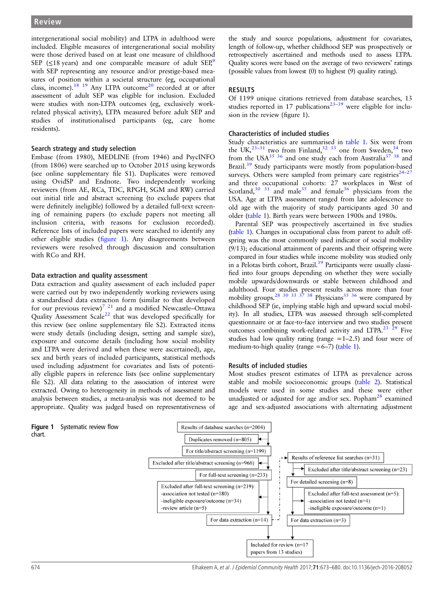intergenerational social mobility) and LTPA in adulthood were included. Eligible measures of intergenerational social mobility were those derived based on at least one measure of childhood SEP ( $\leq$ 18 years) and one comparable measure of adult SEP,<sup>[9](#page-7-0)</sup> with SEP representing any resource and/or prestige-based measures of position within a societal structure (eg, occupational class, income).<sup>[18 19](#page-7-0)</sup> Any LTPA outcome<sup>[20](#page-7-0)</sup> recorded at or after assessment of adult SEP was eligible for inclusion. Excluded were studies with non-LTPA outcomes (eg, exclusively workrelated physical activity), LTPA measured before adult SEP and studies of institutionalised participants (eg, care home residents).

#### Search strategy and study selection

Embase (from 1980), MEDLINE (from 1946) and PsycINFO (from 1806) were searched up to October 2015 using keywords (see online [supplementary](http://dx.doi.org/10.1136/jech-2016-208052) file S1). Duplicates were removed using OvidSP and Endnote. Two independently working reviewers (from AE, RCa, TDC, RPGH, SGM and RW) carried out initial title and abstract screening (to exclude papers that were definitely ineligible) followed by a detailed full-text screening of remaining papers (to exclude papers not meeting all inclusion criteria, with reasons for exclusion recorded). Reference lists of included papers were searched to identify any other eligible studies (figure 1). Any disagreements between reviewers were resolved through discussion and consultation with RCo and RH.

#### Data extraction and quality assessment

Data extraction and quality assessment of each included paper were carried out by two independently working reviewers using a standardised data extraction form (similar to that developed for our previous review)<sup>7 21</sup> and a modified Newcastle–Ottawa Quality Assessment Scale<sup>[22](#page-7-0)</sup> that was developed specifically for this review (see online [supplementary](http://dx.doi.org/10.1136/jech-2016-208052) file S2). Extracted items were study details (including design, setting and sample size), exposure and outcome details (including how social mobility and LTPA were derived and when these were ascertained), age, sex and birth years of included participants, statistical methods used including adjustment for covariates and lists of potentially eligible papers in reference lists (see online [supplementary](http://dx.doi.org/10.1136/jech-2016-208052) fi[le S2\)](http://dx.doi.org/10.1136/jech-2016-208052). All data relating to the association of interest were extracted. Owing to heterogeneity in methods of assessment and analysis between studies, a meta-analysis was not deemed to be appropriate. Quality was judged based on representativeness of

the study and source populations, adjustment for covariates, length of follow-up, whether childhood SEP was prospectively or retrospectively ascertained and methods used to assess LTPA. Quality scores were based on the average of two reviewers' ratings (possible values from lowest (0) to highest (9) quality rating).

#### RESULTS

Of 1199 unique citations retrieved from database searches, 13 studies reported in 17 publications<sup>23-[39](#page-7-0)</sup> were eligible for inclusion in the review (figure 1).

#### Characteristics of included studies

Study characteristics are summarised in [table 1](#page-4-0). Six were from the UK,<sup>23–[31](#page-7-0)</sup> two from Finland,<sup>32–33</sup> one from Sweden,<sup>34</sup> two from the USA $^{35}$   $^{36}$  and one study each from Australia<sup>37</sup>  $^{38}$  and Brazil.<sup>[39](#page-7-0)</sup> Study participants were mostly from population-based surveys. Others were sampled from primary care registries $24-27$  $24-27$ and three occupational cohorts: 27 workplaces in West of Scotland, $30^{31}$  and male<sup>[35](#page-7-0)</sup> and female<sup>36</sup> physicians from the USA. Age at LTPA assessment ranged from late adolescence to old age with the majority of study participants aged 30 and older [\(table 1](#page-4-0)). Birth years were between 1900s and 1980s.

Parental SEP was prospectively ascertained in five studies [\(table 1](#page-4-0)). Changes in occupational class from parent to adult offspring was the most commonly used indicator of social mobility (9/13); educational attainment of parents and their offspring were compared in four studies while income mobility was studied only in a Pelotas birth cohort, Brazil.<sup>39</sup> Participants were usually classified into four groups depending on whether they were socially mobile upwards/downwards or stable between childhood and adulthood. Four studies present results across more than four mobility groups.<sup>[28 30 33 37 38](#page-7-0)</sup> Physicians<sup>[35 36](#page-7-0)</sup> were compared by childhood SEP (ie, implying stable high and upward social mobility). In all studies, LTPA was assessed through self-completed questionnaire or at face-to-face interview and two studies present outcomes combining work-related activity and LTPA.<sup>23</sup> <sup>29</sup> Five studies had low quality rating (range  $=1-2.5$ ) and four were of medium-to-high quality (range  $=6-7$ ) [\(table 1\)](#page-4-0).

#### Results of included studies

Most studies present estimates of LTPA as prevalence across stable and mobile socioeconomic groups ([table 2](#page-5-0)). Statistical models were used in some studies and these were either unadjusted or adjusted for age and/or sex. Popham<sup>[28](#page-7-0)</sup> examined age and sex-adjusted associations with alternating adjustment

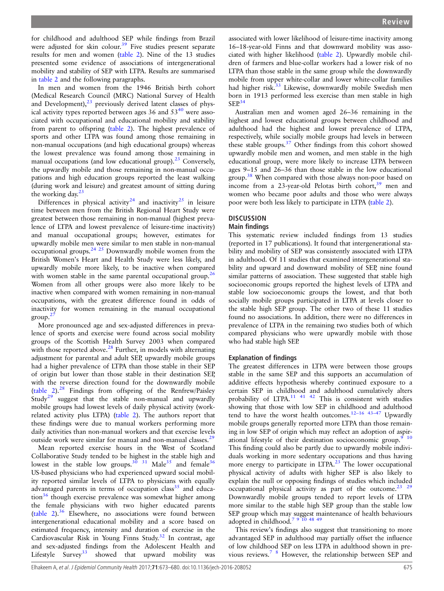for childhood and adulthood SEP while findings from Brazil were adjusted for skin colour.<sup>[39](#page-7-0)</sup> Five studies present separate results for men and women [\(table 2\)](#page-5-0). Nine of the 13 studies presented some evidence of associations of intergenerational mobility and stability of SEP with LTPA. Results are summarised in [table 2](#page-5-0) and the following paragraphs.

In men and women from the 1946 British birth cohort (Medical Research Council (MRC) National Survey of Health and Development), $^{23}$  previously derived latent classes of physical activity types reported between ages 36 and  $53<sup>40</sup>$  $53<sup>40</sup>$  $53<sup>40</sup>$  were associated with occupational and educational mobility and stability from parent to offspring ([table 2](#page-5-0)). The highest prevalence of sports and other LTPA was found among those remaining in non-manual occupations (and high educational groups) whereas the lowest prevalence was found among those remaining in manual occupations (and low educational group).<sup>[23](#page-7-0)</sup> Conversely, the upwardly mobile and those remaining in non-manual occupations and high education groups reported the least walking (during work and leisure) and greatest amount of sitting during the working day.<sup>[23](#page-7-0)</sup>

Differences in physical activity<sup>[24](#page-7-0)</sup> and inactivity<sup>[25](#page-7-0)</sup> in leisure time between men from the British Regional Heart Study were greatest between those remaining in non-manual (highest prevalence of LTPA and lowest prevalence of leisure-time inactivity) and manual occupational groups; however, estimates for upwardly mobile men were similar to men stable in non-manual occupational groups. $24 \frac{25}{5}$  Downwardly mobile women from the British Women's Heart and Health Study were less likely, and upwardly mobile more likely, to be inactive when compared with women stable in the same parental occupational group.<sup>2</sup> Women from all other groups were also more likely to be inactive when compared with women remaining in non-manual occupations, with the greatest difference found in odds of inactivity for women remaining in the manual occupational  $\text{group}^2$ 

More pronounced age and sex-adjusted differences in prevalence of sports and exercise were found across social mobility groups of the Scottish Health Survey 2003 when compared with those reported above. $^{28}$  $^{28}$  $^{28}$  Further, in models with alternating adjustment for parental and adult SEP, upwardly mobile groups had a higher prevalence of LTPA than those stable in their SEP of origin but lower than those stable in their destination SEP, with the reverse direction found for the downwardly mobile (table  $2$ ).<sup>[28](#page-7-0)</sup> Findings from offspring of the Renfrew/Paisley Study<sup>[29](#page-7-0)</sup> suggest that the stable non-manual and upwardly mobile groups had lowest levels of daily physical activity (workrelated activity plus LTPA) [\(table 2\)](#page-5-0). The authors report that these findings were due to manual workers performing more daily activities than non-manual workers and that exercise levels outside work were similar for manual and non-manual classes.<sup>[29](#page-7-0)</sup>

Mean reported exercise hours in the West of Scotland Collaborative Study tended to be highest in the stable high and lowest in the stable low groups.<sup>30</sup> 31 Male<sup>35</sup> and female<sup>36</sup> US-based physicians who had experienced upward social mobility reported similar levels of LTPA to physicians with equally advantaged parents in terms of occupation class<sup>[35](#page-7-0)</sup> and educa- $\frac{36}{6}$  though exercise prevalence was somewhat higher among the female physicians with two higher educated parents ([table 2\)](#page-5-0).[36](#page-7-0) Elsewhere, no associations were found between intergenerational educational mobility and a score based on estimated frequency, intensity and duration of exercise in the Cardiovascular Risk in Young Finns Study.<sup>[32](#page-7-0)</sup> In contrast, age and sex-adjusted findings from the Adolescent Health and Lifestyle Survey<sup>33</sup> showed that upward mobility was showed that upward mobility was

associated with lower likelihood of leisure-time inactivity among 16–18-year-old Finns and that downward mobility was associated with higher likelihood [\(table 2\)](#page-5-0). Upwardly mobile children of farmers and blue-collar workers had a lower risk of no LTPA than those stable in the same group while the downwardly mobile from upper white-collar and lower white-collar families had higher risk.<sup>[33](#page-7-0)</sup> Likewise, downwardly mobile Swedish men born in 1913 performed less exercise than men stable in high  $SFP<sup>34</sup>$  $SFP<sup>34</sup>$  $SFP<sup>34</sup>$ 

Australian men and women aged 26–36 remaining in the highest and lowest educational groups between childhood and adulthood had the highest and lowest prevalence of LTPA, respectively, while socially mobile groups had levels in between these stable groups.<sup>[37](#page-7-0)</sup> Other findings from this cohort showed upwardly mobile men and women, and men stable in the high educational group, were more likely to increase LTPA between ages 9–15 and 26–36 than those stable in the low educational group.<sup>[38](#page-7-0)</sup> When compared with those always non-poor based on income from a  $23$ -year-old Pelotas birth cohort,  $39$  men and women who became poor adults and those who were always poor were both less likely to participate in LTPA ([table 2\)](#page-5-0).

#### **DISCUSSION**

## Main findings

This systematic review included findings from 13 studies (reported in 17 publications). It found that intergenerational stability and mobility of SEP was consistently associated with LTPA in adulthood. Of 11 studies that examined intergenerational stability and upward and downward mobility of SEP, nine found similar patterns of association. These suggested that stable high socioeconomic groups reported the highest levels of LTPA and stable low socioeconomic groups the lowest, and that both socially mobile groups participated in LTPA at levels closer to the stable high SEP group. The other two of these 11 studies found no associations. In addition, there were no differences in prevalence of LTPA in the remaining two studies both of which compared physicians who were upwardly mobile with those who had stable high SEP.

## Explanation of findings

The greatest differences in LTPA were between those groups stable in the same SEP and this supports an accumulation of additive effects hypothesis whereby continued exposure to a certain SEP in childhood and adulthood cumulatively alters probability of LTPA.<sup>[11 41 42](#page-7-0)</sup> This is consistent with studies showing that those with low SEP in childhood and adulthood tend to have the worst health outcomes.<sup>12-[16 43](#page-7-0)-47</sup> Upwardly mobile groups generally reported more LTPA than those remaining in low SEP of origin which may reflect an adoption of aspirational lifestyle of their destination socioeconomic group.<sup>9</sup> <sup>10</sup> This finding could also be partly due to upwardly mobile individuals working in more sedentary occupations and thus having more energy to participate in LTPA.<sup>[23](#page-7-0)</sup> The lower occupational physical activity of adults with higher SEP is also likely to explain the null or opposing findings of studies which included occupational physical activity as part of the outcome.<sup>23</sup> <sup>29</sup> Downwardly mobile groups tended to report levels of LTPA more similar to the stable high SEP group than the stable low SEP group which may suggest maintenance of health behaviours adopted in childhood.<sup>7 9 10</sup> 48 49

This review's findings also suggest that transitioning to more advantaged SEP in adulthood may partially offset the influence of low childhood SEP on less LTPA in adulthood shown in previous reviews.[7 8](#page-7-0) However, the relationship between SEP and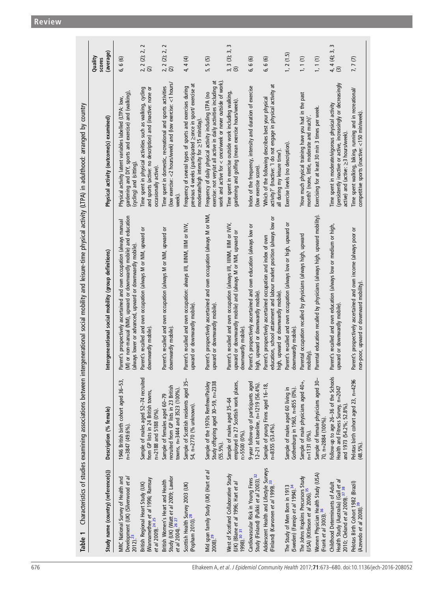<span id="page-4-0"></span>

|                                                                                                                                                                         | (average)<br>Quality<br>scores                        | 6,6 (6)                                                                                                                                                                                                | 2<br>2, 2 (2); 2,<br>$\overline{c}$                                                                                                               | $\sim$<br>$2, 2$ (2); 2, 3                                                                                                        | 4, 4 (4)                                                                                                                                                                    | 5(5)<br>5                                                                                                                                                                                        | S<br>$3, 3$ (3); 3, 3                                                                                                                                        | 6, 6 (6)                                                                                                  | 6,6 (6)                                                                                                                                                                        | 1, 2(1.5)                                                                                 | 1, 1 (1)                                                                                          | 1, 1(1)                                                                   | 3<br>4, 4 (4); 3,<br>$\widehat{S}$                                                                                                                          | 7, 7(7)                                                                                                     |
|-------------------------------------------------------------------------------------------------------------------------------------------------------------------------|-------------------------------------------------------|--------------------------------------------------------------------------------------------------------------------------------------------------------------------------------------------------------|---------------------------------------------------------------------------------------------------------------------------------------------------|-----------------------------------------------------------------------------------------------------------------------------------|-----------------------------------------------------------------------------------------------------------------------------------------------------------------------------|--------------------------------------------------------------------------------------------------------------------------------------------------------------------------------------------------|--------------------------------------------------------------------------------------------------------------------------------------------------------------|-----------------------------------------------------------------------------------------------------------|--------------------------------------------------------------------------------------------------------------------------------------------------------------------------------|-------------------------------------------------------------------------------------------|---------------------------------------------------------------------------------------------------|---------------------------------------------------------------------------|-------------------------------------------------------------------------------------------------------------------------------------------------------------|-------------------------------------------------------------------------------------------------------------|
|                                                                                                                                                                         | Physical activity (outcome(s) examined)               | gardening and DIY, sports and exercise) and (walking)<br>Physical activity latent variables labelled (LTPA: low,<br>(cycling) and (sitting)                                                            | Time spent in physical activities such as walking, cycling<br>and sports (active: no description) and (inactive: none or<br>occasionally active). | (low exercise: <2 hours/week) and (low exercise: <1 hours/<br>Time spent in domestic, recreational and sports activities<br>week) | ಸ<br>Frequency of several types of sports and exercises during<br>previous 4 weeks (participated >once in sport/ exercise<br>moderate/high intensity for $\geq$ 15 min/day) | ಕ<br>work and active for $\lt$ once/week or never outside of work).<br>exercise: not very/at all active in daily activities including<br>Frequency of daily physical activity including LTPA (no | Time spent in exercise outside work including walking,<br>gardening and golfing (mean exercise hours/week).                                                  | Index of the frequency, intensity and duration of exercise<br>(low exercise score)                        | activity?' (Inactive: 'I do not engage in physical activity at<br>'Which of the following describes best your physical<br>all during my leisure time')                         | Exercise levels (no description)                                                          | 'How much physical training have you had in the past<br>month? (none, little, moderate and much)' | Exercising for at least 30 min 3 times per week.                          | (persistently inactive or active, increasingly or decreasingly<br>Time spent in moderate/vigorous physical activity<br>active) and (active: ≥3 hours/week). | Time spent walking, biking, running and in recreational/<br>competitive sports (inactive: <150 min/week).   |
| Characteristics of studies examining associations between intergenerational social mobility and leisure-time physical activity (LTPA) in adulthood: arranged by country | Intergenerational social mobility (group definitions) | (M) or non-manual (NM), upward or downwardly mobile) and education<br>Parent's prospectively ascertained and own occupation (always manual<br>(always lower or advanced, upward or downwardly mobile). | ŏ<br>Parent's recalled and own occupation (always M or NM, upward<br>downwardly mobile)                                                           | Parent's recalled and own occupation (always M or NM, upward or<br>downwardly mobile)                                             | Parent's recalled and own occupation: always I/II, IIINM, IIIM or IV/V,<br>upward or downwardly mobile)                                                                     | Parent's prospectively ascertained and own occupation (always M or NM,<br>upward or downwardly mobile)                                                                                           | Parent's recalled and own occupation (always I/II, IIINM, IIIM or IV/V,<br>upward or downwardly mobile) and (always M or NM, upward or<br>downwardly mobile) | Parent's prospectively ascertained and own education (always low or<br>high, upward or downwardly mobile) | education, school attainment and labour market position (always low or<br>Parent's prospectively ascertained occupation and index of own<br>high, upward or downwardly mobile) | Parent's recalled and own occupation (always low or high, upward or<br>downwardly mobile) | Parental occupation recalled by physicians (always high, upward<br>mobility)                      | Parental education recalled by physicians (always high, upward mobility). | Parent's recalled and own education (always low or medium or high,<br>upward or downwardly mobile)                                                          | Parent's prospectively ascertained and own income (always poor or<br>non-poor, upward or downward mobility) |
|                                                                                                                                                                         | Description (% female)                                | 1946 British birth cohort aged 36-53,<br>$n = 3847(49.6\%)$                                                                                                                                            | Sample of males aged 52-74 recruited<br>from GP lists in 24 British towns,<br>n=2188 and 5188 (0%)                                                | recruited from GP lists in 23 British<br>towns, n=3444 and 3523 (100%).<br>Sample of females aged 60-79                           | Sample of Scottish residents aged 35-<br>54, n=2770 (% unknown).                                                                                                            | Study offspring aged 30-59, n=2338<br>Sample of the 1970s Renfrew/Paisley<br>$(55.5\%)$                                                                                                          | employed in 27 Scottish work places,<br>Sample of males aged 35-64<br>n>5500 (0%).                                                                           | 9-year follow-up of participants aged<br>12-21 at baseline, n=1219 (56.4%).                               | Sample of young Finns aged 16-18,<br>n=8355 (53.4%).                                                                                                                           | Gothenburg in 1963, n=855 (0%).<br>Sample of males aged 60 living in                      | Sample of male physicians aged 40+,<br>n=1131 (0%).                                               | Sample of female physicians aged 30-<br>70, n=2884 (100%).                | Follow-up to age 26-36 of the Schools<br>Health and Fitness Survey, n=2047<br>and 1973 (54.2%; 52.8%)                                                       | Pelotas birth cohort aged 23, n=4296<br>$(48.5\%)$ .                                                        |
| Table 1                                                                                                                                                                 | Study name (country) (reference(s))                   | Development (UK) (Silverwood et al<br>MRC National Survey of Health and<br>$2012)^{23}$                                                                                                                | (Wannamethee <i>et al</i> 1996; Ramsay<br><i>et al</i> 2009). <sup>24 25</sup><br>British Regional Heart Study (UK)                               | Study (UK) (Watt e <i>t al</i> 2009; Lawlor<br>et <i>al</i> 2004). <sup>26 27</sup><br>British Women's Heart and Health           | Scottish Health Survey 2003 (UK)<br>(Popham 2010). <sup>28</sup>                                                                                                            | Mid span family Study (UK) (Hart et al<br>$2008$ ). $^{29}$                                                                                                                                      | West of Scotland Collaborative Study<br>(UK) (Blane <i>et al 1</i> 996; Hart <i>et al</i><br>1998). <sup>30 31</sup>                                         | Cardiovascular Risk in Young Finns<br>Study (Finland) (Pulkki et al 2003). <sup>32</sup>                  | Adolescent Health and Lifestyle Surveys<br>(Finland) (Karvonen et al 1999). <sup>33</sup>                                                                                      | The Study of Men Born in 1913<br>(Sweden) (Faresjo <i>et al</i> 1994). <sup>34</sup>      | The Johns Hopkins Precursors Study<br>(USA) (Kittleson et al 2006). <sup>35</sup>                 | Women Physician Health Study (USA)<br>(Frank et al 3003). <sup>36</sup>   | Health Study (Australia) (Gall et al<br>Childhood Determinants of Adult<br>2010; Cleland et al 2009). <sup>37</sup> <sup>38</sup>                           | Pelotas Birth Cohort 1982 (Brazil)<br>(Azevedo et al 2008). <sup>39</sup>                                   |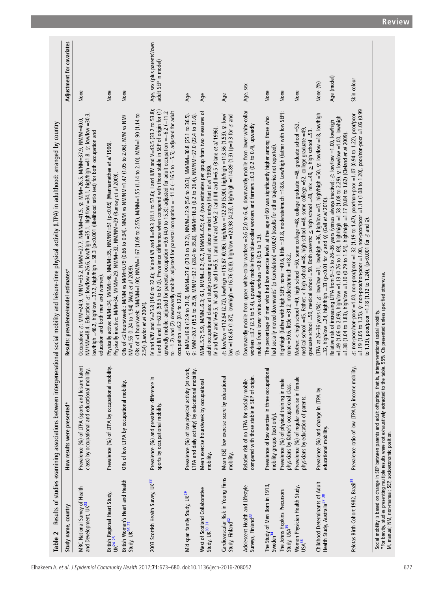<span id="page-5-0"></span>

| Table 2                                                                                |                                                                                                                                                                                                                                   | Results of studies examining associations between intergenerational social mobility and leisure-time physical activity (LTPA) in adulthood: arranged by country                                                                                                                                                                                                                                                                                                                                                                                                        |                                                    |
|----------------------------------------------------------------------------------------|-----------------------------------------------------------------------------------------------------------------------------------------------------------------------------------------------------------------------------------|------------------------------------------------------------------------------------------------------------------------------------------------------------------------------------------------------------------------------------------------------------------------------------------------------------------------------------------------------------------------------------------------------------------------------------------------------------------------------------------------------------------------------------------------------------------------|----------------------------------------------------|
| Study name, country                                                                    | How results were presented*                                                                                                                                                                                                       | Results: prevalence/model estimates*                                                                                                                                                                                                                                                                                                                                                                                                                                                                                                                                   | Adjustment for covariates                          |
| MRC National Survey of Health<br>and Development, UK <sup>23</sup>                     | Prevalence (%) of LTPA (sports and leisure latent<br>class) by occupational and educational mobility.                                                                                                                             | NM/NM-48.4. Education: 3: low/low =26.6, low/high =35.1, high/low =34.1, high/high =41.8. 2: low/low =30.3,<br>Occupation: ♂: M/M=24.9, M/NM=35.2, NM/M=27.7, NM/NM=41.5. ♀: M/M=26.5, M/NM=37.9, NM/M=40.0,<br>ow/high =46.2, high/low =37.2, high/high =58.3 (p<0.001 (likelihood ratio test) for both occupation and<br>education and both men and women).                                                                                                                                                                                                          | None                                               |
| British Regional Heart Study,<br>UK <sup>24 25</sup>                                   | Prevalence (%) of LTPA by occupational mobility.                                                                                                                                                                                  | Physically active: M/M=34, M/NM=46, NM/M=35, NM/NM=51 (p<0.05) (Wannamethee et a/ 1996)<br>Physically inactive: M/M=34, M/NM=29, NM/M=32, NM/NM=29 (Ramsay et al 2009).                                                                                                                                                                                                                                                                                                                                                                                                | None                                               |
| British Women's Heart and Health<br>Study, UK <sup>26 27</sup>                         | ORs of low LTPA by occupational mobility.                                                                                                                                                                                         | ORs of <1 hour/week: NM/NM=1.00; NM/M=1.67 (1.09 to 2.55), M/NM=1.55 (1.14 to 2.10), M/M=1.09 (1.14 to<br>ORs of <2 hours/week .: M/NM vs M/M=0.79 (0.66 to 0.94). NM/M vs NM/NM=1.47 (1.05 to 2.06). M/M vs NM/<br>NM=1.55 (1.24 to 1.94) (Watt et al 2009).<br>2.54) (Lawlor et al 2004).                                                                                                                                                                                                                                                                            | None                                               |
| 2003 Scottish Health Survey, UK <sup>28</sup>                                          | Prevalence (%) and prevalence difference in<br>sports by occupational mobility.                                                                                                                                                   | W and V/IV and V=25.8 (19.0 to 32.6); IV and V/I and II=49.3 (41.1 to 57.6); I and II/IV and V=43.5 (33.2 to 53.8);<br>I and IIII and II=62.8 (58.5 to 67.0). Prevalence difference when compared with those stable in SEP of origin for (1)<br>to $-1.2$ ) and (2) downwardly mobile: adjusted for parental occupation $=-11.0$ ( $-16.5$ to $-5.5$ ); adjusted for adult<br>upwardly mobile: adjusted for parental occupation =9.6 (4.0 to 15.3); adjusted for adult occupation =-6.2 (-11.2<br>occupation =6.2 (0.4 to 12.0).                                       | Age, sex (plus parents'/own<br>adult SEP in model) |
| Mid span family Study, UK <sup>29</sup>                                                | Prevalence (%) of low physical activity (at work,<br>LTPA and daily activity) by educational mobility.                                                                                                                            | 6: MIMI=16.9 (12.9 to 21.0), M/NM=27.6 (23.0 to 32.2), NM/M=12.9 (5.6 to 20.3), NM/NM=30.8 (25.1 to 36.5).<br>♀: M/M=20.7 (15.5 to 25.9), M/NM=32.1 (28.4 to 35.8), NM/M=16.3 (6.2 to 26.4), NM/NM=27.0 (22.4 to 31.6).                                                                                                                                                                                                                                                                                                                                                | Age                                                |
| West of Scotland Collaborative<br>Study, UK <sup>30 31</sup>                           | Mean exercise hours/week by occupational<br>mobility.                                                                                                                                                                             | M/M=5.7; 5.9, M/NM=6.3; 6.1, NM/M=6.2; 6.7, NM/NN/=6.5; 6.4 (two estimates per group from two measures of<br>IV and V/IV and V=5.5, IV and V/I and II=5.5, I and II/IV and V=5.2.1 and II/I and II=6.5 (Blane et a/ 1996).<br>adult occupational class: at study screening and at labour market entry) (Hart et al 1998).                                                                                                                                                                                                                                              | Age                                                |
| Cardiovascular Risk in Young Finns<br>Study, Finland <sup>32</sup>                     | Mean (SE) low exercise score by educational<br>mobility.                                                                                                                                                                          | ov =112.64 (2.72), low/high =115.87 (0.96), high/low =122.59 (5.90), high/high =113.56 (1.53). ⊊: low/<br>low =118.45 (1.87), low/high =116.76 (0.8), high/low =120.98 (4.23), high/high =114.89 (1.3) (p=0.3 for $\sigma$ and<br>$\widehat{\Omega}$                                                                                                                                                                                                                                                                                                                   | Age                                                |
| Adolescent Health and Lifestyle<br>Surveys, Finland <sup>33</sup>                      | compared with those stable in SEP of origin.<br>Relative risk of no LTPA for socially mobile                                                                                                                                      | Downwardly mobile from upper white-collar workers =3.6 (2.0 to 6.4), downwardly mobile from lower white-collar<br>workers =3.7 (2.5 to 5.4), upwardly mobile from blue-collar workers and farmers =0.3 (0.2 to 0.4), upwardly<br>mobile from lower white-collar workers $=0.8$ (0.5 to 1.3).                                                                                                                                                                                                                                                                           | Age, sex                                           |
| The Study of Men Born in 1913,<br>Sweden <sup>34</sup>                                 | ᆕ<br>Prevalence of low exercise in three occupationa<br>mobility groups (text only).                                                                                                                                              | The percentage of men who had low exercise levels at the age of 60 was significantly higher among those who<br>had socially moved downwards' (p (correlation) =0.002) (results for other trajectories not reported).                                                                                                                                                                                                                                                                                                                                                   | None                                               |
| The Johns Hopkins Precursors<br>Study, USA <sup>35</sup>                               | Prevalence (%) of physical training in male<br>physicians by father's occupational class.                                                                                                                                         | High/high (father with high SEP): none =49.6, little =31.8, moderate/much =18.6. Low/high (father with low SEP):<br>none =50.6, little =31.2, moderate/much =18.2.                                                                                                                                                                                                                                                                                                                                                                                                     | None                                               |
| Women Physician Health Study,<br>USA <sup>36</sup>                                     | Prevalence (%) of regular exercise in female<br>physicians by education of parents.                                                                                                                                               | Mother: < high school =49, high school =50, some college =48, college graduate =48, graduate school =52,<br>medical school =45. Father: < high school =48, high school =48, some college =52, college graduate =49,<br>graduate school =50, medical school =50. Both parents: ≤ high school =48, mix =49, ≥ high school =53.                                                                                                                                                                                                                                           | None                                               |
| Childhood Determinants of Adult<br>Health Study, Australia <sup>37</sup> <sup>38</sup> | Prevalence (%) and change in LTPA by<br>educational mobility.                                                                                                                                                                     | LTPA at 26–36 years (%): 3: low/low =31, low/high =36, high/low =47, high/high =50. 2: low/low =18, low/high<br>$=$ 1.49 (1.06 to 2.09), high/low $=$ 1.13 (0.76 to 1.69), high/high $=$ 1.58 (1.08 to 2.29). 2: low/low $=$ 1.00, low/high<br>Relative risk of increasing LTPA from 9–15 to 26–36 years (versus always inactive): ¿: low/low =1.00, low/high<br>=1.38 (1.04 to 1.83), high/low =1.10 (0.79 to 1.54), high/high =1.17 (0.84 to 1.62) (Cleland et al 2009).<br>=32, high/low =24, high/high =33 (p<0.01 for $\sigma$ and $\varphi$ ) (Gall et al 2010). | Age (model)<br>None (%)                            |
| Pelotas Birth Cohort 1982, Brazil <sup>39</sup>                                        | Prevalence ratio of low LTPA by income mobility.                                                                                                                                                                                  | $=1.19$ (1.05 to 1.35). $\varphi$ : non-poor/non-poor $=1.00$ , non-poor/poor $=1.14$ (1.08 to 1.20), poor/non-poor $=1.06$ (0.99<br>∂: non-poor/non-poor =1.00, non-poor/poor =1.32 (1.19 to 1.47), poor/non-poor =1.07 (0.94 to 1.22), poor/poor<br>to 1.13), poor/poor =1.18 (1.12 to 1.24), (p<0.001 for $\delta$ and $\Omega$ ).                                                                                                                                                                                                                                  | Skin colour                                        |
|                                                                                        | Social mobility is based on change in SEP between parents and adult offspring, that is, intergenerational social mobility.<br>*For brevity, studies presenting multiple results were not exhaustively extracted to the table. 95% |                                                                                                                                                                                                                                                                                                                                                                                                                                                                                                                                                                        |                                                    |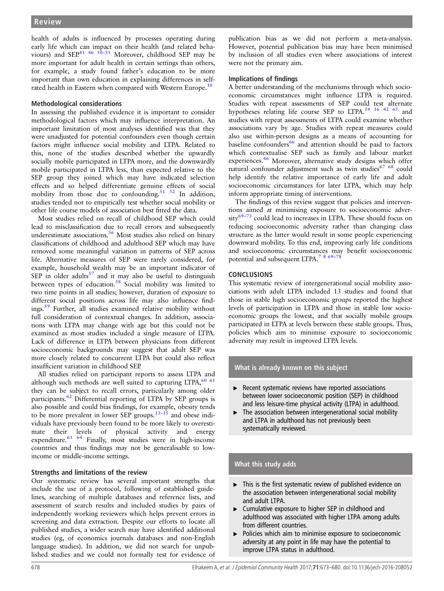health of adults is influenced by processes operating during early life which can impact on their health (and related behaviours) and  $SEP^{41}$ <sup>46 [50](#page-8-0)–55</sup> Moreover, childhood SEP may be more important for adult health in certain settings than others, for example, a study found father's education to be more important than own education in explaining differences in self-rated health in Eastern when compared with Western Europe.<sup>[10](#page-7-0)</sup>

## Methodological considerations

In assessing the published evidence it is important to consider methodological factors which may influence interpretation. An important limitation of most analyses identified was that they were unadjusted for potential confounders even though certain factors might influence social mobility and LTPA. Related to this, none of the studies described whether the upwardly socially mobile participated in LTPA more, and the downwardly mobile participated in LTPA less, than expected relative to the SEP group they joined which may have indicated selection effects and so helped differentiate genuine effects of social mobility from those due to confounding.<sup>51 52</sup> In addition, studies tended not to empirically test whether social mobility or other life course models of association best fitted the data.

Most studies relied on recall of childhood SEP which could lead to misclassification due to recall errors and subsequently underestimate associations.<sup>[56](#page-8-0)</sup> Most studies also relied on binary classifications of childhood and adulthood SEP which may have removed some meaningful variation in patterns of SEP across life. Alternative measures of SEP were rarely considered, for example, household wealth may be an important indicator of SEP in older adults $57$  and it may also be useful to distinguish between types of education.<sup>[58](#page-8-0)</sup> Social mobility was limited to two time points in all studies; however, duration of exposure to different social positions across life may also influence findings.[59](#page-8-0) Further, all studies examined relative mobility without full consideration of contextual changes. In addition, associations with LTPA may change with age but this could not be examined as most studies included a single measure of LTPA. Lack of difference in LTPA between physicians from different socioeconomic backgrounds may suggest that adult SEP was more closely related to concurrent LTPA but could also reflect insufficient variation in childhood SEP.

All studies relied on participant reports to assess LTPA and although such methods are well suited to capturing LTPA,  $60\,61$ they can be subject to recall errors, particularly among older participants.[62](#page-8-0) Differential reporting of LTPA by SEP groups is also possible and could bias findings, for example, obesity tends to be more prevalent in lower SEP groups.[13](#page-7-0)–<sup>15</sup> and obese individuals have previously been found to be more likely to overestimate their levels of physical activity and energy expenditure.<sup>[63 64](#page-8-0)</sup> Finally, most studies were in high-income countries and thus findings may not be generalisable to lowincome or middle-income settings.

## Strengths and limitations of the review

Our systematic review has several important strengths that include the use of a protocol, following of established guidelines, searching of multiple databases and reference lists, and assessment of search results and included studies by pairs of independently working reviewers which helps prevent errors in screening and data extraction. Despite our efforts to locate all published studies, a wider search may have identified additional studies (eg, of economics journals databases and non-English language studies). In addition, we did not search for unpublished studies and we could not formally test for evidence of

publication bias as we did not perform a meta-analysis. However, potential publication bias may have been minimised by inclusion of all studies even where associations of interest were not the primary aim.

## Implications of findings

A better understanding of the mechanisms through which socioeconomic circumstances might influence LTPA is required. Studies with repeat assessments of SEP could test alternate hypotheses relating life course SEP to LTPA.[14 16 42](#page-7-0) [65](#page-8-0) and studies with repeat assessments of LTPA could examine whether associations vary by age. Studies with repeat measures could also use within-person designs as a means of accounting for baseline confounders<sup>[66](#page-8-0)</sup> and attention should be paid to factors which contextualise SEP such as family and labour market experiences.[46](#page-7-0) Moreover, alternative study designs which offer natural confounder adjustment such as twin studies<sup>[67 68](#page-8-0)</sup> could help identify the relative importance of early life and adult socioeconomic circumstances for later LTPA, which may help inform appropriate timing of interventions.

The findings of this review suggest that policies and interventions aimed at minimising exposure to socioeconomic adver-sity<sup>[69](#page-8-0)-73</sup> could lead to increases in LTPA. These should focus on reducing socioeconomic adversity rather than changing class structure as the latter would result in some people experiencing downward mobility. To this end, improving early life conditions and socioeconomic circumstances may benefit socioeconomic potential and subsequent LTPA.<sup>[7 8](#page-7-0) [69](#page-8-0)–7</sup>

# **CONCLUSIONS**

This systematic review of intergenerational social mobility associations with adult LTPA included 13 studies and found that those in stable high socioeconomic groups reported the highest levels of participation in LTPA and those in stable low socioeconomic groups the lowest, and that socially mobile groups participated in LTPA at levels between these stable groups. Thus, policies which aim to minimise exposure to socioeconomic adversity may result in improved LTPA levels.

# What is already known on this subject

- $\triangleright$  Recent systematic reviews have reported associations between lower socioeconomic position (SEP) in childhood and less leisure-time physical activity (LTPA) in adulthood.
- $\blacktriangleright$  The association between intergenerational social mobility and LTPA in adulthood has not previously been systematically reviewed.

# What this study adds

- ▸ This is the first systematic review of published evidence on the association between intergenerational social mobility and adult LTPA.
- ▸ Cumulative exposure to higher SEP in childhood and adulthood was associated with higher LTPA among adults from different countries.
- Policies which aim to minimise exposure to socioeconomic adversity at any point in life may have the potential to improve LTPA status in adulthood.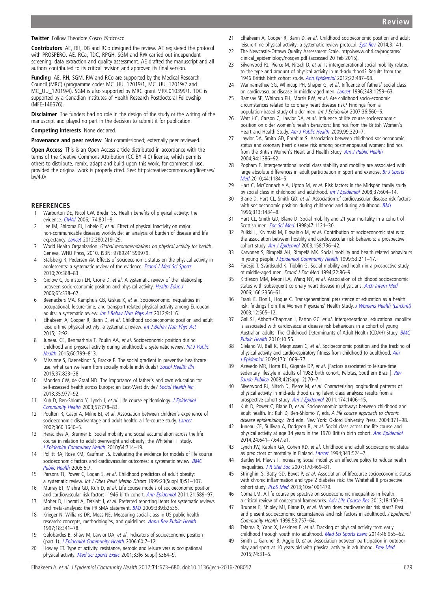#### <span id="page-7-0"></span>**Twitter** Follow Theodore Cosco [@tdcosco](http://twitter.com/tdcosco)

Contributors AE, RH, DB and RCo designed the review. AE registered the protocol with PROSPERO. AE, RCa, TDC, RPGH, SGM and RW carried out independent screening, data extraction and quality assessment. AE drafted the manuscript and all authors contributed to its critical revision and approved its final version.

Funding AE, RH, SGM, RW and RCo are supported by the Medical Research Council (MRC) (programme codes MC\_UU\_12019/1, MC\_UU\_12019/2 and MC\_UU\_12019/4). SGM is also supported by MRC grant MR/L010399/1. TDC is supported by a Canadian Institutes of Health Research Postdoctoral Fellowship (MFE-146676).

Disclaimer The funders had no role in the design of the study or the writing of the manuscript and played no part in the decision to submit it for publication.

#### Competing interests None declared.

Provenance and peer review Not commissioned; externally peer reviewed.

Open Access This is an Open Access article distributed in accordance with the terms of the Creative Commons Attribution (CC BY 4.0) license, which permits others to distribute, remix, adapt and build upon this work, for commercial use, provided the original work is properly cited. See: [http://creativecommons.org/licenses/](http://creativecommons.org/licenses/by/4.0/) [by/4.0/](http://creativecommons.org/licenses/by/4.0/)

#### **REFERENCES**

- 1 Warburton DE, Nicol CW, Bredin SS. Health benefits of physical activity: the evidence. [CMAJ](http://dx.doi.org/10.1503/cmaj.051351) 2006;174:801–9.
- 2 Lee IM, Shiroma EJ, Lobelo F, et al. Effect of physical inactivity on major non-communicable diseases worldwide: an analysis of burden of disease and life expectancy. [Lancet](http://dx.doi.org/10.1016/S0140-6736(12)61031-9) 2012;380:219–29.
- 3 World Health Organization. Global recommendations on physical activity for health. Geneva, WHO Press, 2010. ISBN: 9789241599979.
- 4 Stalsberg R, Pedersen AV. Effects of socioeconomic status on the physical activity in adolescents: a systematic review of the evidence. [Scand J Med Sci Sports](http://dx.doi.org/10.1111/j.1600-0838.2009.01047.x) 2010;20:368–83.
- 5 Gidlow C, Johnston LH, Crone D, et al. A systematic review of the relationship between socio-economic position and physical activity. [Health Educ J](http://dx.doi.org/10.1177/0017896906069378) 2006;65:338–67.
- 6 Beenackers MA, Kamphuis CB, Giskes K, et al. Socioeconomic inequalities in occupational, leisure-time, and transport related physical activity among European adults: a systematic review. [Int J Behav Nutr Phys Act](http://dx.doi.org/10.1186/1479-5868-9-116) 2012;9:116.
- Elhakeem A, Cooper R, Bann D, et al. Childhood socioeconomic position and adult leisure-time physical activity: a systematic review. [Int J Behav Nutr Phys Act](http://dx.doi.org/10.1186/s12966-015-0250-0) 2015;12:92.
- 8 Juneau CE, Benmarhnia T, Poulin AA, et al. Socioeconomic position during childhood and physical activity during adulthood: a systematic review. [Int J Public](http://dx.doi.org/10.1007/s00038-015-0710-y) [Health](http://dx.doi.org/10.1007/s00038-015-0710-y) 2015;60:799–813.
- 9 Missinne S, Daenekindt S, Bracke P. The social gradient in preventive healthcare use: what can we learn from socially mobile individuals? [Sociol Health Illn](http://dx.doi.org/10.1111/1467-9566.12225) 2015;37:823–38.
- 10 Monden CW, de Graaf ND. The importance of father's and own education for self-assessed health across Europe: an East-West divide? [Sociol Health Illn](http://dx.doi.org/10.1111/1467-9566.12015) 2013;35:977–92.
- 11 Kuh D, Ben-Shlomo Y, Lynch J, et al. Life course epidemiology. [J Epidemiol](http://dx.doi.org/10.1136/jech.57.10.778) [Community Health](http://dx.doi.org/10.1136/jech.57.10.778) 2003;57:778–83.
- 12 Poulton R, Caspi A, Milne BJ, et al. Association between children's experience of socioeconomic disadvantage and adult health: a life-course study. [Lancet](http://dx.doi.org/10.1016/S0140-6736(02)11602-3) 2002;360:1640–5.
- 13 Heraclides A, Brunner E. Social mobility and social accumulation across the life course in relation to adult overweight and obesity: the Whitehall II study. [J Epidemiol Community Health](http://dx.doi.org/10.1136/jech.2009.087692) 2010;64:714–19.
- 14 Pollitt RA, Rose KM, Kaufman JS. Evaluating the evidence for models of life course socioeconomic factors and cardiovascular outcomes: a systematic review. [BMC](http://dx.doi.org/10.1186/1471-2458-5-7) [Public Health](http://dx.doi.org/10.1186/1471-2458-5-7) 2005;5:7.
- 15 Parsons TJ, Power C, Logan S, et al. Childhood predictors of adult obesity: a systematic review. Int J Obes Relat Metab Disord 1999;23(Suppl 8):S1–107.
- 16 Murray ET, Mishra GD, Kuh D, et al. Life course models of socioeconomic position and cardiovascular risk factors: 1946 birth cohort. [Ann Epidemiol](http://dx.doi.org/10.1016/j.annepidem.2011.04.005) 2011;21:589–97.
- 17 Moher D, Liberati A, Tetzlaff J, et al. Preferred reporting items for systematic reviews and meta-analyses: the PRISMA statement. [BMJ](http://dx.doi.org/10.1136/bmj.b2535) 2009;339:b2535.
- 18 Krieger N, Williams DR, Moss NE. Measuring social class in US public health research: concepts, methodologies, and guidelines. [Annu Rev Public Health](http://dx.doi.org/10.1146/annurev.publhealth.18.1.341) 1997;18:341–78.
- 19 Galobardes B, Shaw M, Lawlor DA, et al. Indicators of socioeconomic position (part 1). [J Epidemiol Community Health](http://dx.doi.org/10.1136/jech.2004.023531) 2006;60:7-12.
- 20 Howley ET. Type of activity: resistance, aerobic and leisure versus occupational physical activity. [Med Sci Sports Exerc](http://dx.doi.org/10.1097/00005768-200106001-00005) 2001;33(6 Suppl):S364-9.
- 21 Elhakeem A, Cooper R, Bann D, et al. Childhood socioeconomic position and adult leisure-time physical activity: a systematic review protocol. [Syst Rev](http://dx.doi.org/10.1186/2046-4053-3-141) 2014;3:141.
- 22 The Newcastle-Ottawa Quality Assessment Scale. [http://www.ohri.ca/programs/](http://www.ohri.ca/programs/clinical_epidemiology/nosgen.pdf) [clinical\\_epidemiology/nosgen.pdf](http://www.ohri.ca/programs/clinical_epidemiology/nosgen.pdf) (accessed 20 Feb 2015).
- 23 Silverwood RJ, Pierce M, Nitsch D, et al. Is intergenerational social mobility related to the type and amount of physical activity in mid-adulthood? Results from the 1946 British birth cohort study. [Ann Epidemiol](http://dx.doi.org/10.1016/j.annepidem.2012.03.002) 2012;22:487–98.
- 24 Wannamethee SG, Whincup PH, Shaper G, et al. Influence of fathers' social class on cardiovascular disease in middle-aged men. *[Lancet](http://dx.doi.org/10.1016/S0140-6736(96)02465-8)* 1996;348:1259-63.
- 25 Ramsay SE, Whincup PH, Morris RW, et al. Are childhood socio-economic circumstances related to coronary heart disease risk? Findings from a population-based study of older men. Int J Epidemiol 2007;36:560–6.
- 26 Watt HC, Carson C, Lawlor DA, et al. Influence of life course socioeconomic position on older women's health behaviors: findings from the British Women's Heart and Health Study. [Am J Public Health](http://dx.doi.org/10.2105/AJPH.2007.129288) 2009;99:320-7.
- 27 Lawlor DA, Smith GD, Ebrahim S. Association between childhood socioeconomic status and coronary heart disease risk among postmenopausal women: findings from the British Women's Heart and Health Study. [Am J Public Health](http://dx.doi.org/10.2105/AJPH.94.8.1386) 2004;94:1386–92.
- 28 Popham F. Intergenerational social class stability and mobility are associated with large absolute differences in adult participation in sport and exercise. [Br J Sports](http://dx.doi.org/10.1136/bjsm.2009.059626) [Med](http://dx.doi.org/10.1136/bjsm.2009.059626) 2010;44:1184–5.
- 29 Hart C, McConnachie A, Upton M, et al. Risk factors in the Midspan family study by social class in childhood and adulthood. [Int J Epidemiol](http://dx.doi.org/10.1093/ije/dyn052) 2008;37:604-14.
- 30 Blane D, Hart CL, Smith GD, et al. Association of cardiovascular disease risk factors with socioeconomic position during childhood and during adulthood. **[BMJ](http://dx.doi.org/10.1136/bmj.313.7070.1434)** 1996;313:1434–8.
- 31 Hart CL, Smith GD, Blane D. Social mobility and 21 year mortality in a cohort of Scottish men. [Soc Sci Med](http://dx.doi.org/10.1016/S0277-9536(98)00061-6) 1998;47:1121–30.
- 32 Pulkki L, Kivimäki M, Elovainio M, et al. Contribution of socioeconomic status to the association between hostility and cardiovascular risk behaviors: a prospective cohort study. [Am J Epidemiol](http://dx.doi.org/10.1093/aje/kwg204) 2003;158:736-42.
- 33 Karvonen S, Rimpelä AH, Rimpelä MK. Social mobility and health related behaviours in young people. [J Epidemiol Community Health](http://dx.doi.org/10.1136/jech.53.4.211) 1999;53:211-17.
- 34 Faresjö T, Svärdsudd K, Tibblin G. Social mobility and health in a prospective study of middle-aged men. Scand J Soc Med 1994;22:86–9.
- 35 Kittleson MM, Meoni LA, Wang NY, et al. Association of childhood socioeconomic status with subsequent coronary heart disease in physicians. [Arch Intern Med](http://dx.doi.org/10.1001/archinte.166.21.2356) 2006;166:2356–61.
- 36 Frank E, Elon L, Hogue C. Transgenerational persistence of education as a health risk: findings from the Women Physicians' Health Study. [J Womens Health \(Larchmt\)](http://dx.doi.org/10.1089/154099903766651630) 2003;12:505–12.
- 37 Gall SL, Abbott-Chapman J, Patton GC, et al. Intergenerational educational mobility is associated with cardiovascular disease risk behaviours in a cohort of young Australian adults: The Childhood Determinants of Adult Health (CDAH) Study. [BMC](http://dx.doi.org/10.1186/1471-2458-10-55) [Public Health](http://dx.doi.org/10.1186/1471-2458-10-55) 2010;10:55.
- 38 Cleland VJ, Ball K, Magnussen C, et al. Socioeconomic position and the tracking of physical activity and cardiorespiratory fitness from childhood to adulthood. [Am](http://dx.doi.org/10.1093/aje/kwp271) [J Epidemiol](http://dx.doi.org/10.1093/aje/kwp271) 2009;170:1069–77.
- 39 Azevedo MR, Horta BL, Gigante DP, et al. [Factors associated to leisure-time sedentary lifestyle in adults of 1982 birth cohort, Pelotas, Southern Brazil]. [Rev](http://dx.doi.org/10.1590/S0034-89102008000900010) [Saude Publica](http://dx.doi.org/10.1590/S0034-89102008000900010) 2008;42(Suppl 2):70–7.
- 40 Silverwood RJ, Nitsch D, Pierce M, et al. Characterizing longitudinal patterns of physical activity in mid-adulthood using latent class analysis: results from a prospective cohort study. [Am J Epidemiol](http://dx.doi.org/10.1093/aje/kwr266) 2011;174:1406-15.
- 41 Kuh D, Power C, Blane D, et al. Socioeconomic pathways between childhood and adult health. In: Kuh D, Ben-Shlomo Y, eds. A life course approach to chronic disease epidemiology. 2nd edn. New York: Oxford University Press, 2004:371–98.
- 42 Juneau CE, Sullivan A, Dodgeon B, et al. Social class across the life course and physical activity at age 34 years in the 1970 British birth cohort. [Ann Epidemiol](http://dx.doi.org/10.1016/j.annepidem.2014.06.096) 2014;24:641–7,647.e1.
- 43 Lynch JW, Kaplan GA, Cohen RD, et al. Childhood and adult socioeconomic status as predictors of mortality in Finland. [Lancet](http://dx.doi.org/10.1016/S0140-6736(94)91468-0) 1994;343:524–7.
- 44 Bartley M. Plewis I. Increasing social mobility: an effective policy to reduce health inequalities. *[J R Stat Soc](http://dx.doi.org/10.1111/j.1467-985X.2006.00464.x)* 2007;170:469-81.
- 45 Stringhini S, Batty GD, Bovet P, et al. Association of lifecourse socioeconomic status with chronic inflammation and type 2 diabetes risk: the Whitehall II prospective cohort study. [PLoS Med](http://dx.doi.org/10.1371/journal.pmed.1001479) 2013;10:e1001479.
- 46 Corna LM. A life course perspective on socioeconomic inequalities in health: a critical review of conceptual frameworks. [Adv Life Course Res](http://dx.doi.org/10.1016/j.alcr.2013.01.002) 2013;18:150-9.
- 47 Brunner E, Shipley MJ, Blane D, et al. When does cardiovascular risk start? Past and present socioeconomic circumstances and risk factors in adulthood. J Epidemiol Community Health 1999;53:757–64.
- 48 Telama R, Yang X, Leskinen E, et al. Tracking of physical activity from early childhood through youth into adulthood. [Med Sci Sports Exerc](http://dx.doi.org/10.1249/MSS.0000000000000181) 2014;46:955-62.
- 49 Smith L, Gardner B, Aggio D, et al. Association between participation in outdoor play and sport at 10 years old with physical activity in adulthood. [Prev Med](http://dx.doi.org/10.1016/j.ypmed.2015.02.004) 2015;74:31–5.